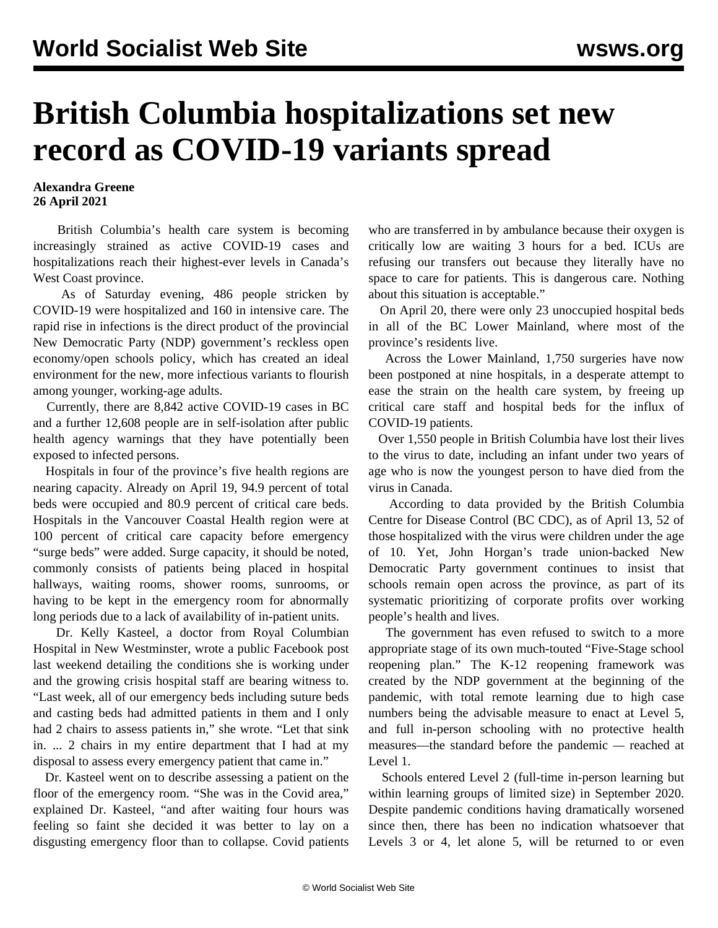## **British Columbia hospitalizations set new record as COVID-19 variants spread**

## **Alexandra Greene 26 April 2021**

 British Columbia's health care system is becoming increasingly strained as active COVID-19 cases and hospitalizations reach their highest-ever levels in Canada's West Coast province.

 As of Saturday evening, 486 people stricken by COVID-19 were hospitalized and 160 in intensive care. The rapid rise in infections is the direct product of the provincial New Democratic Party (NDP) government's reckless open economy/open schools policy, which has created an ideal environment for the new, more infectious variants to flourish among younger, working-age adults.

 Currently, there are 8,842 active COVID-19 cases in BC and a further 12,608 people are in self-isolation after public health agency warnings that they have potentially been exposed to infected persons.

 Hospitals in four of the province's five health regions are nearing capacity. Already on April 19, 94.9 percent of total beds were occupied and 80.9 percent of critical care beds. Hospitals in the Vancouver Coastal Health region were at 100 percent of critical care capacity before emergency "surge beds" were added. Surge capacity, it should be noted, commonly consists of patients being placed in hospital hallways, waiting rooms, shower rooms, sunrooms, or having to be kept in the emergency room for abnormally long periods due to a lack of availability of in-patient units.

 Dr. Kelly Kasteel, a doctor from Royal Columbian Hospital in New Westminster, wrote a public Facebook post last weekend detailing the conditions she is working under and the growing crisis hospital staff are bearing witness to. "Last week, all of our emergency beds including suture beds and casting beds had admitted patients in them and I only had 2 chairs to assess patients in," she wrote. "Let that sink in. ... 2 chairs in my entire department that I had at my disposal to assess every emergency patient that came in."

 Dr. Kasteel went on to describe assessing a patient on the floor of the emergency room. "She was in the Covid area," explained Dr. Kasteel, "and after waiting four hours was feeling so faint she decided it was better to lay on a disgusting emergency floor than to collapse. Covid patients who are transferred in by ambulance because their oxygen is critically low are waiting 3 hours for a bed. ICUs are refusing our transfers out because they literally have no space to care for patients. This is dangerous care. Nothing about this situation is acceptable."

 On April 20, there were only 23 unoccupied hospital beds in all of the BC Lower Mainland, where most of the province's residents live.

 Across the Lower Mainland, 1,750 surgeries have now been postponed at nine hospitals, in a desperate attempt to ease the strain on the health care system, by freeing up critical care staff and hospital beds for the influx of COVID-19 patients.

 Over 1,550 people in British Columbia have lost their lives to the virus to date, including an infant under two years of age who is now the youngest person to have died from the virus in Canada.

 According to data provided by the British Columbia Centre for Disease Control (BC CDC), as of April 13, 52 of those hospitalized with the virus were children under the age of 10. Yet, John Horgan's trade union-backed New Democratic Party government continues to insist that schools remain open across the province, as part of its systematic prioritizing of corporate profits over working people's health and lives.

 The government has even refused to switch to a more appropriate stage of its own much-touted "Five-Stage school reopening plan." The K-12 reopening framework was created by the NDP government at the beginning of the pandemic, with total remote learning due to high case numbers being the advisable measure to enact at Level 5, and full in-person schooling with no protective health measures—the standard before the pandemic *—* reached at Level 1.

 Schools entered Level 2 (full-time in-person learning but within learning groups of limited size) in September 2020. Despite pandemic conditions having dramatically worsened since then, there has been no indication whatsoever that Levels 3 or 4, let alone 5, will be returned to or even